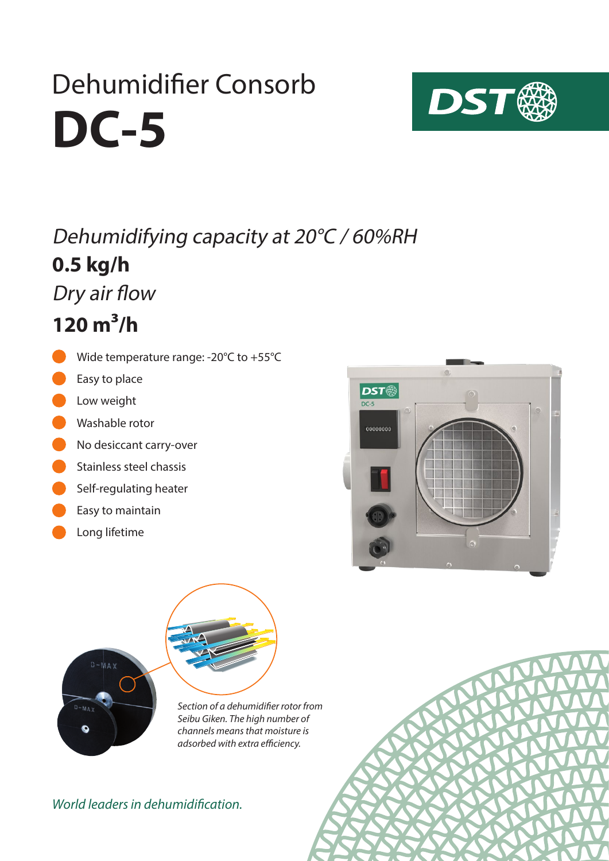# **DC-5** Dehumidifier Consorb



### **0.5 kg/h** Dehumidifying capacity at 20°C / 60%RH

Dry air flow

**120 m³/h**

- Wide temperature range: -20°C to +55°C
- Easy to place
- Low weight
- Washable rotor
- No desiccant carry-over
- Stainless steel chassis
- Self-regulating heater
- Easy to maintain
- Long lifetime





*Section of a dehumidifier rotor from Seibu Giken. The high number of channels means that moisture is adsorbed with extra efficiency.*

#### *World leaders in dehumidification.*